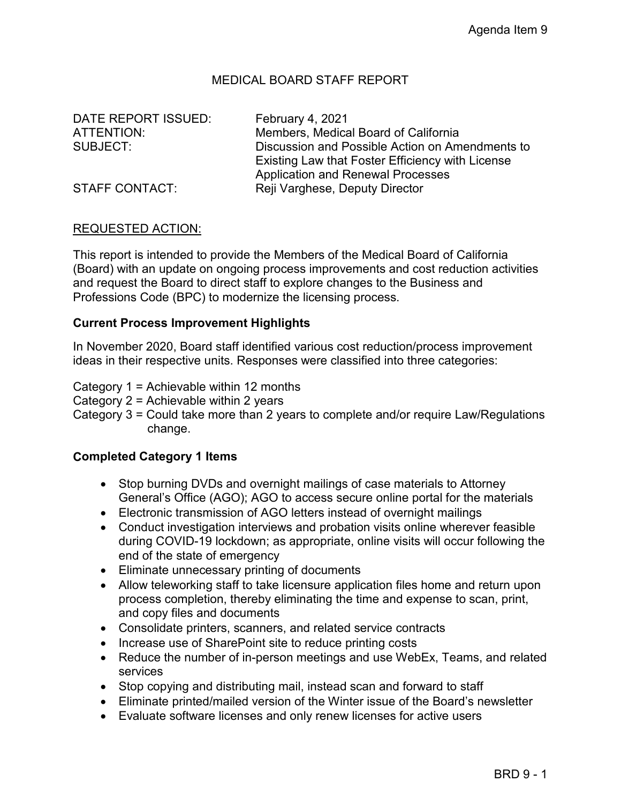# MEDICAL BOARD STAFF REPORT

DATE REPORT ISSUED: February 4, 2021

ATTENTION: Members, Medical Board of California SUBJECT: Discussion and Possible Action on Amendments to Existing Law that Foster Efficiency with License Application and Renewal Processes STAFF CONTACT: Reji Varghese, Deputy Director

# REQUESTED ACTION:

This report is intended to provide the Members of the Medical Board of California (Board) with an update on ongoing process improvements and cost reduction activities and request the Board to direct staff to explore changes to the Business and Professions Code (BPC) to modernize the licensing process.

### **Current Process Improvement Highlights**

In November 2020, Board staff identified various cost reduction/process improvement ideas in their respective units. Responses were classified into three categories:

Category 1 = Achievable within 12 months

Category 2 = Achievable within 2 years

Category 3 = Could take more than 2 years to complete and/or require Law/Regulations change.

#### **Completed Category 1 Items**

- Stop burning DVDs and overnight mailings of case materials to Attorney General's Office (AGO); AGO to access secure online portal for the materials
- Electronic transmission of AGO letters instead of overnight mailings
- Conduct investigation interviews and probation visits online wherever feasible during COVID-19 lockdown; as appropriate, online visits will occur following the end of the state of emergency
- Eliminate unnecessary printing of documents
- Allow teleworking staff to take licensure application files home and return upon process completion, thereby eliminating the time and expense to scan, print, and copy files and documents
- Consolidate printers, scanners, and related service contracts
- Increase use of SharePoint site to reduce printing costs
- Reduce the number of in-person meetings and use WebEx, Teams, and related services
- Stop copying and distributing mail, instead scan and forward to staff
- Eliminate printed/mailed version of the Winter issue of the Board's newsletter
- Evaluate software licenses and only renew licenses for active users